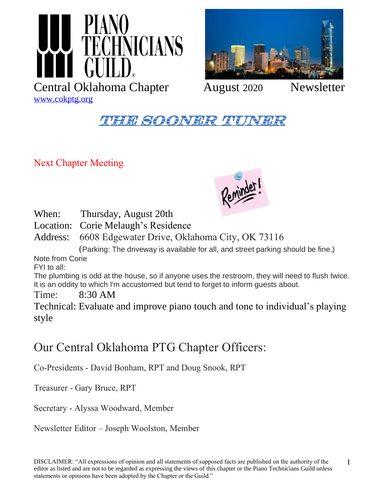



### **THE SOONER TUP**

Next Chapter Meeting



When: Thursday, August 20th

Location: Corie Melaugh's Residence

Address: 6608 Edgewater Drive, Oklahoma City, OK 73116

(Parking: The driveway is available for all, and street parking should be fine.)

Note from Corie

FYI to all:

The plumbing is odd at the house, so if anyone uses the restroom, they will need to flush twice. It is an oddity to which I'm accustomed but tend to forget to inform guests about.

Time: 8:30 AM

Technical: Evaluate and improve piano touch and tone to individual's playing style

### Our Central Oklahoma PTG Chapter Officers:

Co-Presidents - David Bonham, RPT and Doug Snook, RPT

Treasurer - Gary Bruce, RPT

Secretary - Alyssa Woodward, Member

Newsletter Editor – Joseph Woolston, Member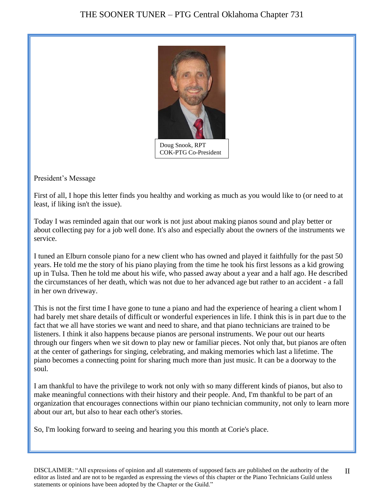

President's Message

First of all, I hope this letter finds you healthy and working as much as you would like to (or need to at least, if liking isn't the issue).

Today I was reminded again that our work is not just about making pianos sound and play better or about collecting pay for a job well done. It's also and especially about the owners of the instruments we service.

I tuned an Elburn console piano for a new client who has owned and played it faithfully for the past 50 years. He told me the story of his piano playing from the time he took his first lessons as a kid growing up in Tulsa. Then he told me about his wife, who passed away about a year and a half ago. He described the circumstances of her death, which was not due to her advanced age but rather to an accident - a fall in her own driveway.

This is not the first time I have gone to tune a piano and had the experience of hearing a client whom I had barely met share details of difficult or wonderful experiences in life. I think this is in part due to the fact that we all have stories we want and need to share, and that piano technicians are trained to be listeners. I think it also happens because pianos are personal instruments. We pour out our hearts through our fingers when we sit down to play new or familiar pieces. Not only that, but pianos are often at the center of gatherings for singing, celebrating, and making memories which last a lifetime. The piano becomes a connecting point for sharing much more than just music. It can be a doorway to the soul.

I am thankful to have the privilege to work not only with so many different kinds of pianos, but also to make meaningful connections with their history and their people. And, I'm thankful to be part of an organization that encourages connections within our piano technician community, not only to learn more about our art, but also to hear each other's stories.

So, I'm looking forward to seeing and hearing you this month at Corie's place.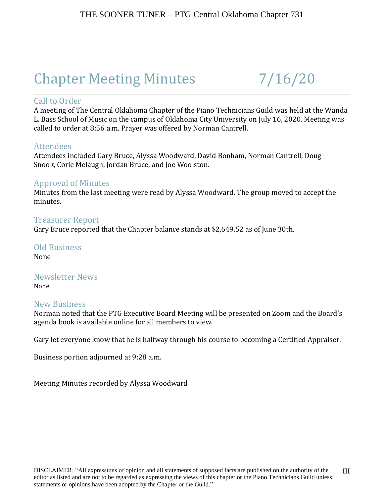# Chapter Meeting Minutes 7/16/20

### Call to Order

A meeting of The Central Oklahoma Chapter of the Piano Technicians Guild was held at the Wanda L. Bass School of Music on the campus of Oklahoma City University on July 16, 2020. Meeting was called to order at 8:56 a.m. Prayer was offered by Norman Cantrell.

#### **Attendees**

Attendees included Gary Bruce, Alyssa Woodward, David Bonham, Norman Cantrell, Doug Snook, Corie Melaugh, Jordan Bruce, and Joe Woolston.

### Approval of Minutes

Minutes from the last meeting were read by Alyssa Woodward. The group moved to accept the minutes.

#### Treasurer Report

Gary Bruce reported that the Chapter balance stands at \$2,649.52 as of June 30th.

Old Business None

Newsletter News None

#### New Business

Norman noted that the PTG Executive Board Meeting will be presented on Zoom and the Board's agenda book is available online for all members to view.

Gary let everyone know that he is halfway through his course to becoming a Certified Appraiser.

Business portion adjourned at 9:28 a.m.

Meeting Minutes recorded by Alyssa Woodward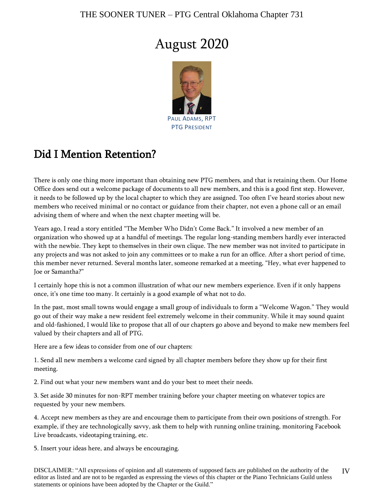## August 2020



### Did I Mention Retention?

There is only one thing more important than obtaining new PTG members, and that is retaining them. Our Home Office does send out a welcome package of documents to all new members, and this is a good first step. However, it needs to be followed up by the local chapter to which they are assigned. Too often I've heard stories about new members who received minimal or no contact or guidance from their chapter, not even a phone call or an email advising them of where and when the next chapter meeting will be.

Years ago, I read a story entitled "The Member Who Didn't Come Back." It involved a new member of an organization who showed up at a handful of meetings. The regular long-standing members hardly ever interacted with the newbie. They kept to themselves in their own clique. The new member was not invited to participate in any projects and was not asked to join any committees or to make a run for an office. After a short period of time, this member never returned. Several months later, someone remarked at a meeting, "Hey, what ever happened to Joe or Samantha?"

I certainly hope this is not a common illustration of what our new members experience. Even if it only happens once, it's one time too many. It certainly is a good example of what not to do.

In the past, most small towns would engage a small group of individuals to form a "Welcome Wagon." They would go out of their way make a new resident feel extremely welcome in their community. While it may sound quaint and old-fashioned, I would like to propose that all of our chapters go above and beyond to make new members feel valued by their chapters and all of PTG.

Here are a few ideas to consider from one of our chapters:

1. Send all new members a welcome card signed by all chapter members before they show up for their first meeting.

2. Find out what your new members want and do your best to meet their needs.

3. Set aside 30 minutes for non-RPT member training before your chapter meeting on whatever topics are requested by your new members.

4. Accept new members as they are and encourage them to participate from their own positions of strength. For example, if they are technologically savvy, ask them to help with running online training, monitoring Facebook Live broadcasts, videotaping training, etc.

5. Insert your ideas here, and always be encouraging.